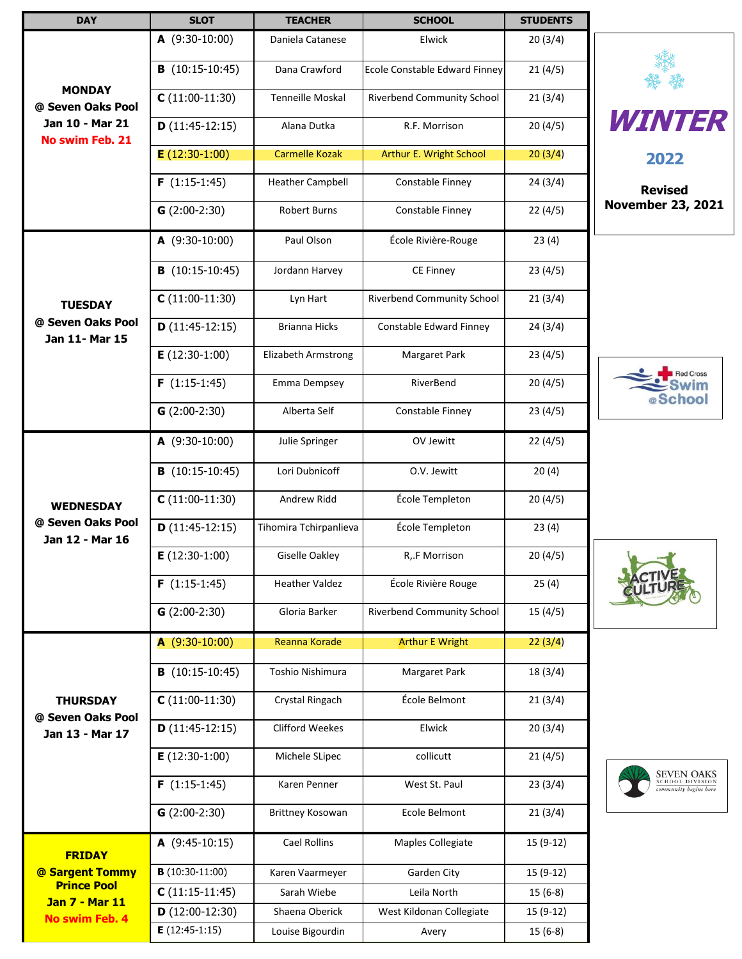| <b>DAY</b>                                            | <b>SLOT</b>              | <b>TEACHER</b>          | <b>SCHOOL</b>                     | <b>STUDENTS</b> |                                                               |
|-------------------------------------------------------|--------------------------|-------------------------|-----------------------------------|-----------------|---------------------------------------------------------------|
|                                                       | $A(9:30-10:00)$          | Daniela Catanese        | Elwick                            | 20(3/4)         |                                                               |
|                                                       | $B(10:15-10:45)$         | Dana Crawford           | Ecole Constable Edward Finney     | 21(4/5)         |                                                               |
| <b>MONDAY</b><br>@ Seven Oaks Pool                    | $C(11:00-11:30)$         | Tenneille Moskal        | Riverbend Community School        | 21(3/4)         |                                                               |
| Jan 10 - Mar 21<br><b>No swim Feb. 21</b>             | $D(11:45-12:15)$         | Alana Dutka             | R.F. Morrison                     | 20(4/5)         | <i><b>WINTER</b></i>                                          |
|                                                       | $E(12:30-1:00)$          | <b>Carmelle Kozak</b>   | Arthur E. Wright School           | 20(3/4)         | 2022                                                          |
|                                                       | $F(1:15-1:45)$           | <b>Heather Campbell</b> | Constable Finney                  | 24(3/4)         | <b>Revised</b>                                                |
|                                                       | $G(2:00-2:30)$           | <b>Robert Burns</b>     | Constable Finney                  | 22(4/5)         | <b>November 23, 2021</b>                                      |
|                                                       | $A(9:30-10:00)$          | Paul Olson              | École Rivière-Rouge               | 23(4)           |                                                               |
|                                                       | $B(10:15-10:45)$         | Jordann Harvey          | CE Finney                         | 23(4/5)         |                                                               |
| <b>TUESDAY</b><br>@ Seven Oaks Pool<br>Jan 11- Mar 15 | $C(11:00-11:30)$         | Lyn Hart                | Riverbend Community School        | 21(3/4)         |                                                               |
|                                                       | $D(11:45-12:15)$         | <b>Brianna Hicks</b>    | Constable Edward Finney           | 24(3/4)         |                                                               |
|                                                       | $E(12:30-1:00)$          | Elizabeth Armstrong     | Margaret Park                     | 23(4/5)         |                                                               |
|                                                       | $F(1:15-1:45)$           | Emma Dempsey            | RiverBend                         | 20(4/5)         | <b>Red Cross</b>                                              |
|                                                       | $G(2:00-2:30)$           | Alberta Self            | Constable Finney                  | 23(4/5)         | @School                                                       |
|                                                       | $A(9:30-10:00)$          | Julie Springer          | OV Jewitt                         | 22(4/5)         |                                                               |
|                                                       | <b>B</b> $(10:15-10:45)$ | Lori Dubnicoff          | O.V. Jewitt                       | 20(4)           |                                                               |
| <b>WEDNESDAY</b>                                      | $C(11:00-11:30)$         | Andrew Ridd             | École Templeton                   | 20(4/5)         |                                                               |
| @ Seven Oaks Pool<br>Jan 12 - Mar 16                  | $D(11:45-12:15)$         | Tihomira Tchirpanlieva  | École Templeton                   | 23(4)           |                                                               |
|                                                       | $E(12:30-1:00)$          | <b>Giselle Oakley</b>   | R, F Morrison                     | 20(4/5)         | <b>T</b>                                                      |
|                                                       | $F(1:15-1:45)$           | <b>Heather Valdez</b>   | École Rivière Rouge               | 25(4)           |                                                               |
|                                                       | $G(2:00-2:30)$           | Gloria Barker           | <b>Riverbend Community School</b> | 15(4/5)         |                                                               |
|                                                       | $A(9:30-10:00)$          | Reanna Korade           | <b>Arthur E Wright</b>            | 22(3/4)         |                                                               |
|                                                       | <b>B</b> $(10:15-10:45)$ | Toshio Nishimura        | Margaret Park                     | 18(3/4)         |                                                               |
| <b>THURSDAY</b>                                       | $C(11:00-11:30)$         | Crystal Ringach         | École Belmont                     | 21(3/4)         |                                                               |
| @ Seven Oaks Pool<br>Jan 13 - Mar 17                  | $D(11:45-12:15)$         | <b>Clifford Weekes</b>  | Elwick                            | 20(3/4)         |                                                               |
|                                                       | $E(12:30-1:00)$          | Michele SLipec          | collicutt                         | 21(4/5)         |                                                               |
|                                                       | $F(1:15-1:45)$           | Karen Penner            | West St. Paul                     | 23(3/4)         | <b>SEVEN OAKS</b><br>SCHOOL DIVISION<br>community begins here |
|                                                       | $G(2:00-2:30)$           | Brittney Kosowan        | Ecole Belmont                     | 21(3/4)         |                                                               |
| <b>FRIDAY</b>                                         | $A(9:45-10:15)$          | Cael Rollins            | Maples Collegiate                 | 15 (9-12)       |                                                               |
| @ Sargent Tommy                                       | $B(10:30-11:00)$         | Karen Vaarmeyer         | Garden City                       | $15(9-12)$      |                                                               |
| <b>Prince Pool</b><br><b>Jan 7 - Mar 11</b>           | $C(11:15-11:45)$         | Sarah Wiebe             | Leila North                       | 15 (6-8)        |                                                               |
| <b>No swim Feb. 4</b>                                 | $D(12:00-12:30)$         | Shaena Oberick          | West Kildonan Collegiate          | 15 (9-12)       |                                                               |
|                                                       | $E(12:45-1:15)$          | Louise Bigourdin        | Avery                             | 15 (6-8)        |                                                               |